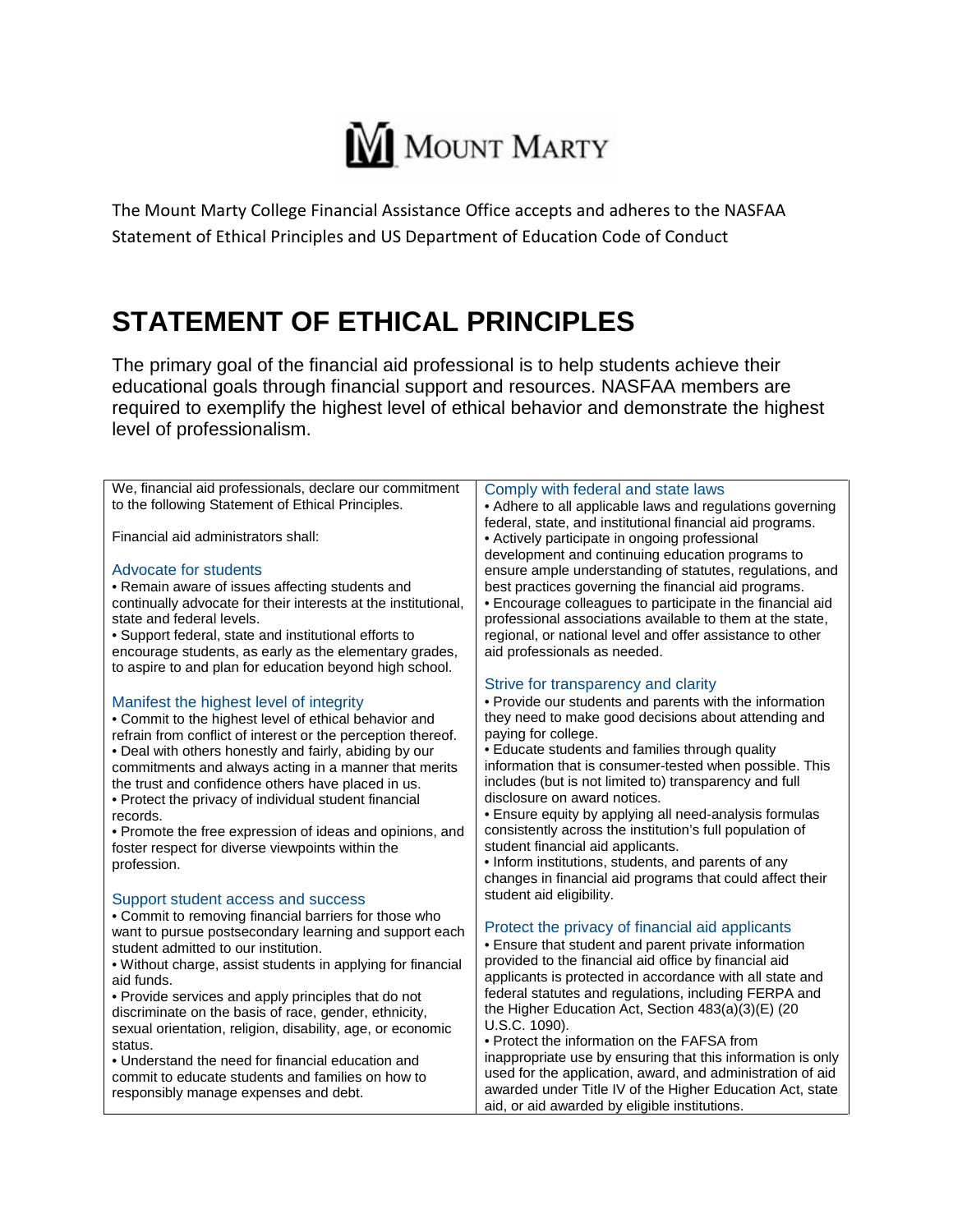

The Mount Marty College Financial Assistance Office accepts and adheres to the NASFAA Statement of Ethical Principles and US Department of Education Code of Conduct

## **STATEMENT OF ETHICAL PRINCIPLES**

The primary goal of the financial aid professional is to help students achieve their educational goals through financial support and resources. NASFAA members are required to exemplify the highest level of ethical behavior and demonstrate the highest level of professionalism.

| We, financial aid professionals, declare our commitment        | Comply with federal and state laws                          |
|----------------------------------------------------------------|-------------------------------------------------------------|
| to the following Statement of Ethical Principles.              | • Adhere to all applicable laws and regulations governing   |
|                                                                | federal, state, and institutional financial aid programs.   |
| Financial aid administrators shall:                            | • Actively participate in ongoing professional              |
|                                                                | development and continuing education programs to            |
| Advocate for students                                          | ensure ample understanding of statutes, regulations, and    |
| • Remain aware of issues affecting students and                | best practices governing the financial aid programs.        |
| continually advocate for their interests at the institutional, | • Encourage colleagues to participate in the financial aid  |
| state and federal levels.                                      | professional associations available to them at the state,   |
| • Support federal, state and institutional efforts to          | regional, or national level and offer assistance to other   |
| encourage students, as early as the elementary grades,         | aid professionals as needed.                                |
| to aspire to and plan for education beyond high school.        |                                                             |
|                                                                | Strive for transparency and clarity                         |
|                                                                |                                                             |
| Manifest the highest level of integrity                        | • Provide our students and parents with the information     |
| . Commit to the highest level of ethical behavior and          | they need to make good decisions about attending and        |
| refrain from conflict of interest or the perception thereof.   | paying for college.                                         |
| . Deal with others honestly and fairly, abiding by our         | • Educate students and families through quality             |
| commitments and always acting in a manner that merits          | information that is consumer-tested when possible. This     |
| the trust and confidence others have placed in us.             | includes (but is not limited to) transparency and full      |
| • Protect the privacy of individual student financial          | disclosure on award notices.                                |
| records.                                                       | • Ensure equity by applying all need-analysis formulas      |
| • Promote the free expression of ideas and opinions, and       | consistently across the institution's full population of    |
| foster respect for diverse viewpoints within the               | student financial aid applicants.                           |
| profession.                                                    | • Inform institutions, students, and parents of any         |
|                                                                | changes in financial aid programs that could affect their   |
| Support student access and success                             | student aid eligibility.                                    |
| • Commit to removing financial barriers for those who          |                                                             |
| want to pursue postsecondary learning and support each         | Protect the privacy of financial aid applicants             |
| student admitted to our institution.                           | • Ensure that student and parent private information        |
| . Without charge, assist students in applying for financial    | provided to the financial aid office by financial aid       |
| aid funds.                                                     | applicants is protected in accordance with all state and    |
| • Provide services and apply principles that do not            | federal statutes and regulations, including FERPA and       |
| discriminate on the basis of race, gender, ethnicity,          | the Higher Education Act, Section 483(a)(3)(E) (20          |
| sexual orientation, religion, disability, age, or economic     | U.S.C. 1090).                                               |
| status.                                                        | • Protect the information on the FAFSA from                 |
| • Understand the need for financial education and              | inappropriate use by ensuring that this information is only |
| commit to educate students and families on how to              | used for the application, award, and administration of aid  |
| responsibly manage expenses and debt.                          | awarded under Title IV of the Higher Education Act, state   |
|                                                                | aid, or aid awarded by eligible institutions.               |